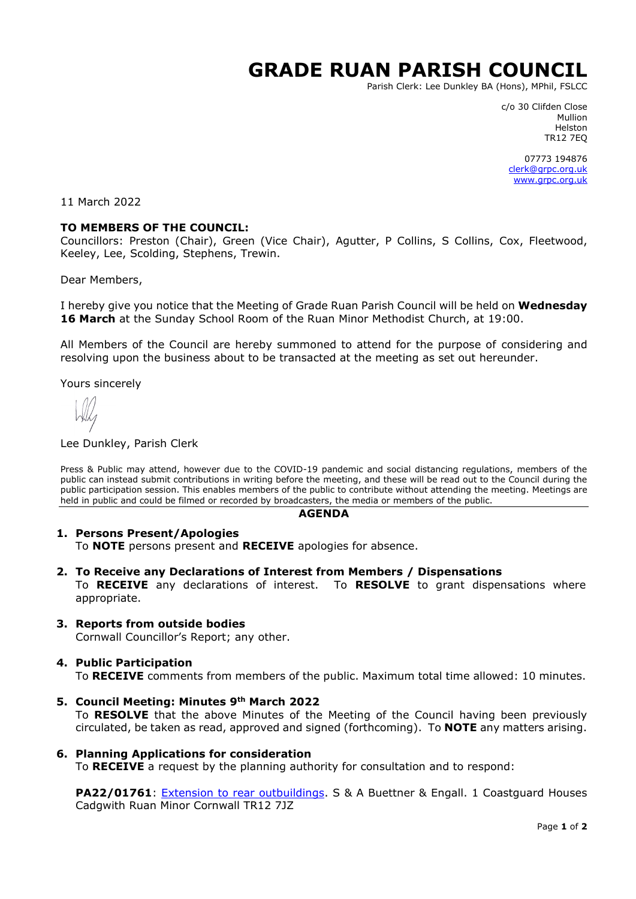# **GRADE RUAN PARISH COUNCIL**

Parish Clerk: Lee Dunkley BA (Hons), MPhil, FSLCC

c/o 30 Clifden Close Mullion Helston TR12 7EQ

07773 194876 [clerk@grpc.org.uk](mailto:clerk@grpc.org.uk) [www.grpc.org.uk](http://www.grpc.org.uk/)

11 March 2022

## **TO MEMBERS OF THE COUNCIL:**

Councillors: Preston (Chair), Green (Vice Chair), Agutter, P Collins, S Collins, Cox, Fleetwood, Keeley, Lee, Scolding, Stephens, Trewin.

Dear Members,

I hereby give you notice that the Meeting of Grade Ruan Parish Council will be held on **Wednesday 16 March** at the Sunday School Room of the Ruan Minor Methodist Church, at 19:00.

All Members of the Council are hereby summoned to attend for the purpose of considering and resolving upon the business about to be transacted at the meeting as set out hereunder.

Yours sincerely

#### Lee Dunkley, Parish Clerk

Press & Public may attend, however due to the COVID-19 pandemic and social distancing regulations, members of the public can instead submit contributions in writing before the meeting, and these will be read out to the Council during the public participation session. This enables members of the public to contribute without attending the meeting. Meetings are held in public and could be filmed or recorded by broadcasters, the media or members of the public.

#### **AGENDA**

#### **1. Persons Present/Apologies**

To **NOTE** persons present and **RECEIVE** apologies for absence.

**2. To Receive any Declarations of Interest from Members / Dispensations**

To **RECEIVE** any declarations of interest. To **RESOLVE** to grant dispensations where appropriate.

**3. Reports from outside bodies**

Cornwall Councillor's Report; any other.

#### **4. Public Participation**

To **RECEIVE** comments from members of the public. Maximum total time allowed: 10 minutes.

**5. Council Meeting: Minutes 9th March 2022** To **RESOLVE** that the above Minutes of the Meeting of the Council having been previously circulated, be taken as read, approved and signed (forthcoming). To **NOTE** any matters arising.

# **6. Planning Applications for consideration**

To **RECEIVE** a request by the planning authority for consultation and to respond:

PA22/01761: Extension to rear outbuildings</u>. S & A Buettner & Engall. 1 Coastguard Houses Cadgwith Ruan Minor Cornwall TR12 7JZ